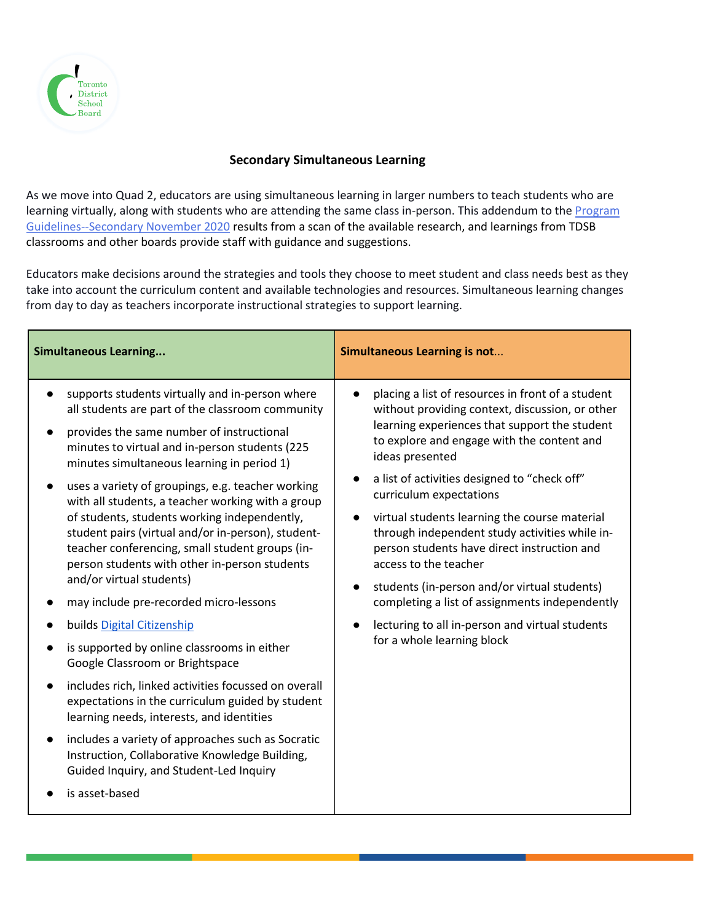

## **Secondary Simultaneous Learning**

As we move into Quad 2, educators are using simultaneous learning in larger numbers to teach students who are learning virtually, along with students who are attending the same class in-person. This addendum to the Program [Guidelines--Secondary November 2020](https://mytdsb01.tdsb.on.ca/+CSCO+0h75676763663A2F2F6A6A6A2E6771666F2E62612E706E++/Portals/0/docs/ProgramGuidelines-Secondary-November2020.pdf) results from a scan of the available research, and learnings from TDSB classrooms and other boards provide staff with guidance and suggestions.

Educators make decisions around the strategies and tools they choose to meet student and class needs best as they take into account the curriculum content and available technologies and resources. Simultaneous learning changes from day to day as teachers incorporate instructional strategies to support learning.

| <b>Simultaneous Learning</b>                                                                                                                                                                                                                                                                                                                                                                                                                                                                                                                                                                                                                                                                                                                                                                                                                                                                                                                                                                                                                                                                                      | <b>Simultaneous Learning is not</b>                                                                                                                                                                                                                                                                                                                                                                                                                                                                                                                                                                                                                                                       |
|-------------------------------------------------------------------------------------------------------------------------------------------------------------------------------------------------------------------------------------------------------------------------------------------------------------------------------------------------------------------------------------------------------------------------------------------------------------------------------------------------------------------------------------------------------------------------------------------------------------------------------------------------------------------------------------------------------------------------------------------------------------------------------------------------------------------------------------------------------------------------------------------------------------------------------------------------------------------------------------------------------------------------------------------------------------------------------------------------------------------|-------------------------------------------------------------------------------------------------------------------------------------------------------------------------------------------------------------------------------------------------------------------------------------------------------------------------------------------------------------------------------------------------------------------------------------------------------------------------------------------------------------------------------------------------------------------------------------------------------------------------------------------------------------------------------------------|
| supports students virtually and in-person where<br>all students are part of the classroom community<br>provides the same number of instructional<br>minutes to virtual and in-person students (225<br>minutes simultaneous learning in period 1)<br>uses a variety of groupings, e.g. teacher working<br>with all students, a teacher working with a group<br>of students, students working independently,<br>student pairs (virtual and/or in-person), student-<br>teacher conferencing, small student groups (in-<br>person students with other in-person students<br>and/or virtual students)<br>may include pre-recorded micro-lessons<br>builds Digital Citizenship<br>is supported by online classrooms in either<br>Google Classroom or Brightspace<br>includes rich, linked activities focussed on overall<br>$\bullet$<br>expectations in the curriculum guided by student<br>learning needs, interests, and identities<br>includes a variety of approaches such as Socratic<br>$\bullet$<br>Instruction, Collaborative Knowledge Building,<br>Guided Inquiry, and Student-Led Inquiry<br>is asset-based | placing a list of resources in front of a student<br>without providing context, discussion, or other<br>learning experiences that support the student<br>to explore and engage with the content and<br>ideas presented<br>a list of activities designed to "check off"<br>curriculum expectations<br>virtual students learning the course material<br>$\bullet$<br>through independent study activities while in-<br>person students have direct instruction and<br>access to the teacher<br>students (in-person and/or virtual students)<br>$\bullet$<br>completing a list of assignments independently<br>lecturing to all in-person and virtual students<br>for a whole learning block |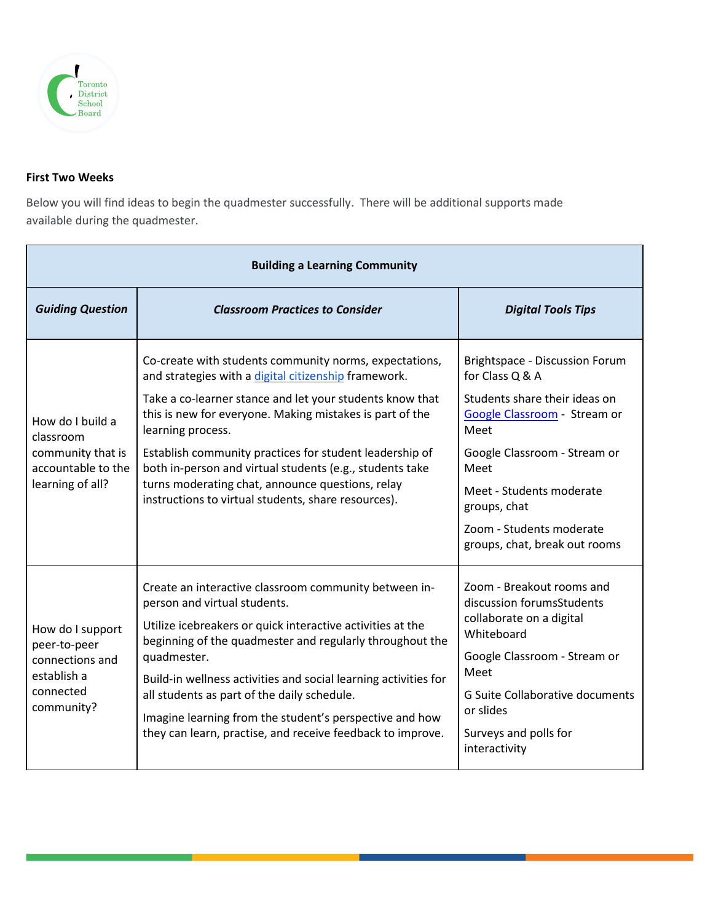

## **First Two Weeks**

Below you will find ideas to begin the quadmester successfully. There will be additional supports made available during the quadmester.

| <b>Building a Learning Community</b>                                                          |                                                                                                                                                                                                                                                                                                                                                                                                                                                                                               |                                                                                                                                                                                                                                                                             |
|-----------------------------------------------------------------------------------------------|-----------------------------------------------------------------------------------------------------------------------------------------------------------------------------------------------------------------------------------------------------------------------------------------------------------------------------------------------------------------------------------------------------------------------------------------------------------------------------------------------|-----------------------------------------------------------------------------------------------------------------------------------------------------------------------------------------------------------------------------------------------------------------------------|
| <b>Guiding Question</b>                                                                       | <b>Classroom Practices to Consider</b>                                                                                                                                                                                                                                                                                                                                                                                                                                                        | <b>Digital Tools Tips</b>                                                                                                                                                                                                                                                   |
| How do I build a<br>classroom<br>community that is<br>accountable to the<br>learning of all?  | Co-create with students community norms, expectations,<br>and strategies with a digital citizenship framework.<br>Take a co-learner stance and let your students know that<br>this is new for everyone. Making mistakes is part of the<br>learning process.<br>Establish community practices for student leadership of<br>both in-person and virtual students (e.g., students take<br>turns moderating chat, announce questions, relay<br>instructions to virtual students, share resources). | Brightspace - Discussion Forum<br>for Class Q & A<br>Students share their ideas on<br>Google Classroom - Stream or<br>Meet<br>Google Classroom - Stream or<br>Meet<br>Meet - Students moderate<br>groups, chat<br>Zoom - Students moderate<br>groups, chat, break out rooms |
| How do I support<br>peer-to-peer<br>connections and<br>establish a<br>connected<br>community? | Create an interactive classroom community between in-<br>person and virtual students.<br>Utilize icebreakers or quick interactive activities at the<br>beginning of the quadmester and regularly throughout the<br>quadmester.<br>Build-in wellness activities and social learning activities for<br>all students as part of the daily schedule.<br>Imagine learning from the student's perspective and how<br>they can learn, practise, and receive feedback to improve.                     | Zoom - Breakout rooms and<br>discussion forumsStudents<br>collaborate on a digital<br>Whiteboard<br>Google Classroom - Stream or<br>Meet<br><b>G Suite Collaborative documents</b><br>or slides<br>Surveys and polls for<br>interactivity                                   |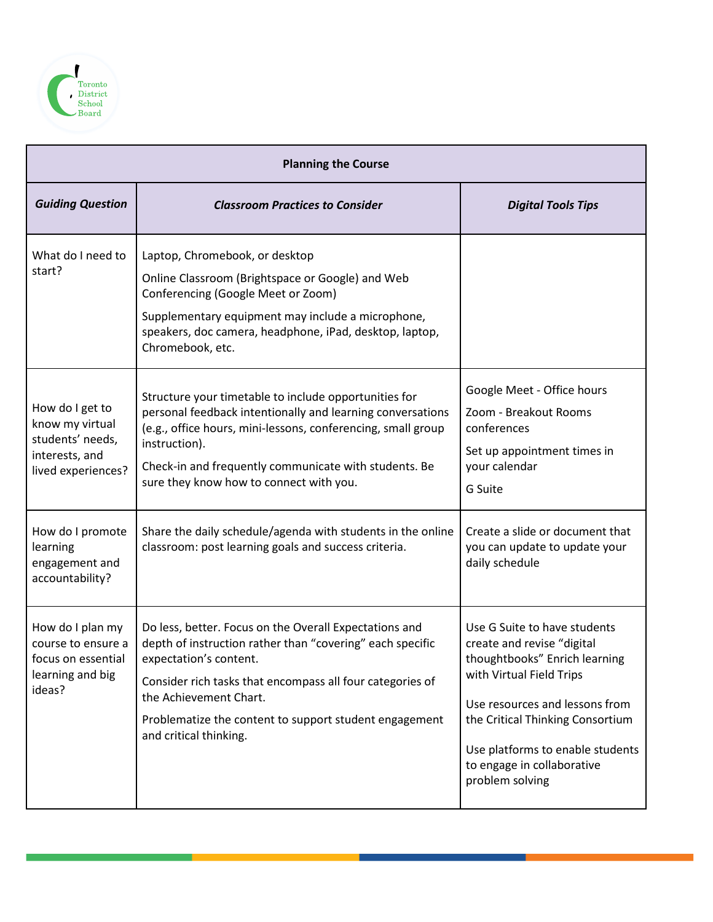

| <b>Planning the Course</b>                                                                     |                                                                                                                                                                                                                                                                                                                          |                                                                                                                                                                                                                                                                                    |
|------------------------------------------------------------------------------------------------|--------------------------------------------------------------------------------------------------------------------------------------------------------------------------------------------------------------------------------------------------------------------------------------------------------------------------|------------------------------------------------------------------------------------------------------------------------------------------------------------------------------------------------------------------------------------------------------------------------------------|
| <b>Guiding Question</b>                                                                        | <b>Classroom Practices to Consider</b>                                                                                                                                                                                                                                                                                   | <b>Digital Tools Tips</b>                                                                                                                                                                                                                                                          |
| What do I need to<br>start?                                                                    | Laptop, Chromebook, or desktop<br>Online Classroom (Brightspace or Google) and Web<br>Conferencing (Google Meet or Zoom)<br>Supplementary equipment may include a microphone,<br>speakers, doc camera, headphone, iPad, desktop, laptop,<br>Chromebook, etc.                                                             |                                                                                                                                                                                                                                                                                    |
| How do I get to<br>know my virtual<br>students' needs,<br>interests, and<br>lived experiences? | Structure your timetable to include opportunities for<br>personal feedback intentionally and learning conversations<br>(e.g., office hours, mini-lessons, conferencing, small group<br>instruction).<br>Check-in and frequently communicate with students. Be<br>sure they know how to connect with you.                 | Google Meet - Office hours<br>Zoom - Breakout Rooms<br>conferences<br>Set up appointment times in<br>your calendar<br>G Suite                                                                                                                                                      |
| How do I promote<br>learning<br>engagement and<br>accountability?                              | Share the daily schedule/agenda with students in the online<br>classroom: post learning goals and success criteria.                                                                                                                                                                                                      | Create a slide or document that<br>you can update to update your<br>daily schedule                                                                                                                                                                                                 |
| How do I plan my<br>course to ensure a<br>focus on essential<br>learning and big<br>ideas?     | Do less, better. Focus on the Overall Expectations and<br>depth of instruction rather than "covering" each specific<br>expectation's content.<br>Consider rich tasks that encompass all four categories of<br>the Achievement Chart.<br>Problematize the content to support student engagement<br>and critical thinking. | Use G Suite to have students<br>create and revise "digital<br>thoughtbooks" Enrich learning<br>with Virtual Field Trips<br>Use resources and lessons from<br>the Critical Thinking Consortium<br>Use platforms to enable students<br>to engage in collaborative<br>problem solving |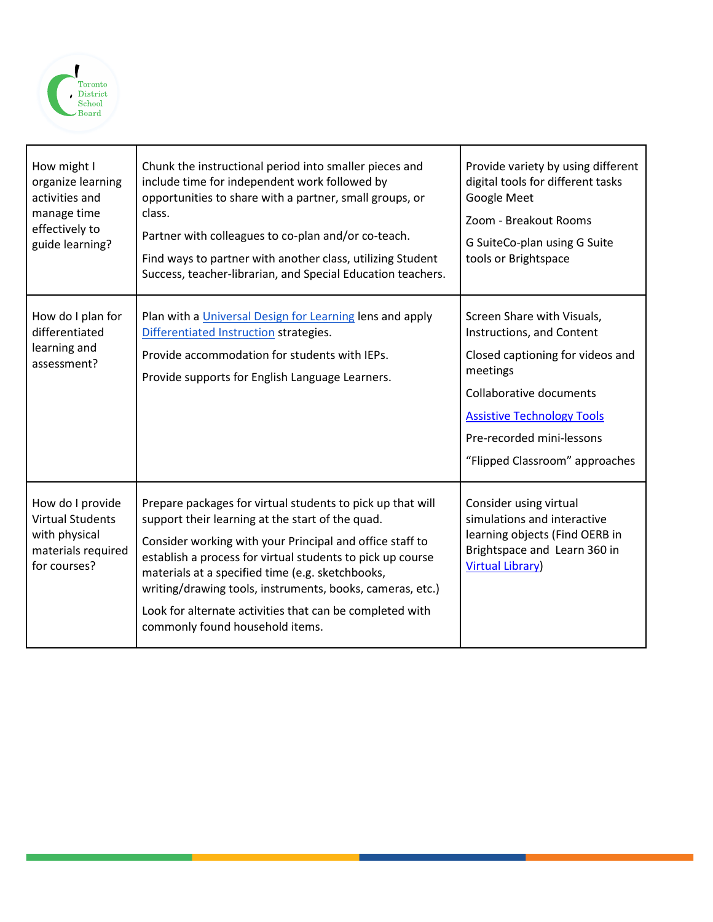

| How might I<br>organize learning<br>activities and<br>manage time<br>effectively to<br>guide learning? | Chunk the instructional period into smaller pieces and<br>include time for independent work followed by<br>opportunities to share with a partner, small groups, or<br>class.<br>Partner with colleagues to co-plan and/or co-teach.<br>Find ways to partner with another class, utilizing Student<br>Success, teacher-librarian, and Special Education teachers.                                                                                         | Provide variety by using different<br>digital tools for different tasks<br>Google Meet<br>Zoom - Breakout Rooms<br>G SuiteCo-plan using G Suite<br>tools or Brightspace                                                                |
|--------------------------------------------------------------------------------------------------------|----------------------------------------------------------------------------------------------------------------------------------------------------------------------------------------------------------------------------------------------------------------------------------------------------------------------------------------------------------------------------------------------------------------------------------------------------------|----------------------------------------------------------------------------------------------------------------------------------------------------------------------------------------------------------------------------------------|
| How do I plan for<br>differentiated<br>learning and<br>assessment?                                     | Plan with a Universal Design for Learning lens and apply<br>Differentiated Instruction strategies.<br>Provide accommodation for students with IEPs.<br>Provide supports for English Language Learners.                                                                                                                                                                                                                                                   | Screen Share with Visuals,<br>Instructions, and Content<br>Closed captioning for videos and<br>meetings<br>Collaborative documents<br><b>Assistive Technology Tools</b><br>Pre-recorded mini-lessons<br>"Flipped Classroom" approaches |
| How do I provide<br><b>Virtual Students</b><br>with physical<br>materials required<br>for courses?     | Prepare packages for virtual students to pick up that will<br>support their learning at the start of the quad.<br>Consider working with your Principal and office staff to<br>establish a process for virtual students to pick up course<br>materials at a specified time (e.g. sketchbooks,<br>writing/drawing tools, instruments, books, cameras, etc.)<br>Look for alternate activities that can be completed with<br>commonly found household items. | Consider using virtual<br>simulations and interactive<br>learning objects (Find OERB in<br>Brightspace and Learn 360 in<br><b>Virtual Library)</b>                                                                                     |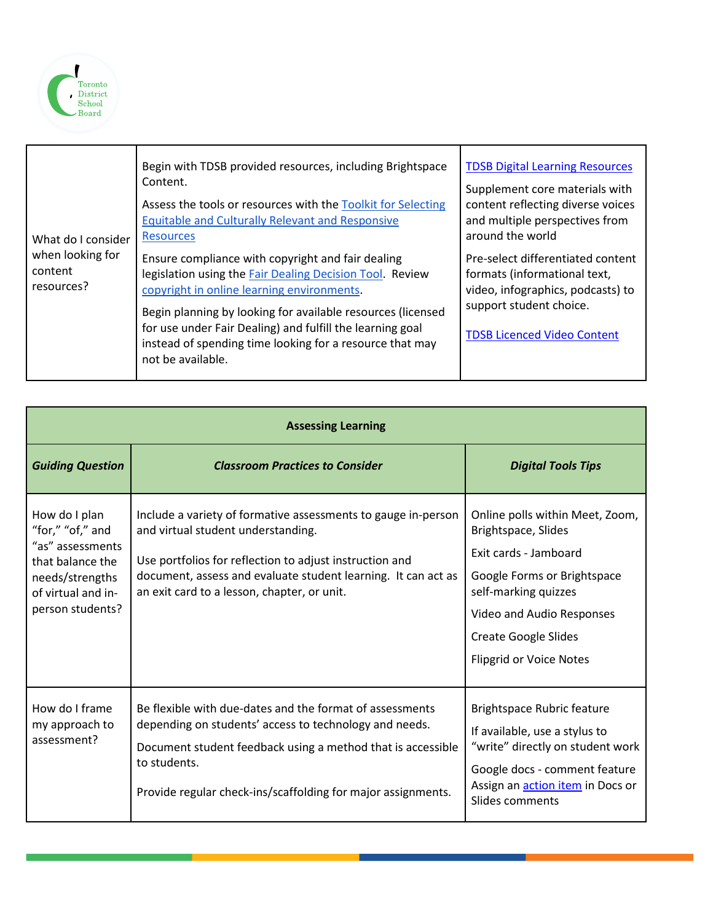

| What do I consider<br>when looking for<br>content<br>resources? | Begin with TDSB provided resources, including Brightspace<br>Content.<br>Assess the tools or resources with the Toolkit for Selecting<br><b>Equitable and Culturally Relevant and Responsive</b><br><b>Resources</b>                                                                                                                                                     | <b>TDSB Digital Learning Resources</b><br>Supplement core materials with<br>content reflecting diverse voices<br>and multiple perspectives from<br>around the world     |
|-----------------------------------------------------------------|--------------------------------------------------------------------------------------------------------------------------------------------------------------------------------------------------------------------------------------------------------------------------------------------------------------------------------------------------------------------------|-------------------------------------------------------------------------------------------------------------------------------------------------------------------------|
|                                                                 | Ensure compliance with copyright and fair dealing<br>legislation using the Fair Dealing Decision Tool. Review<br>copyright in online learning environments.<br>Begin planning by looking for available resources (licensed<br>for use under Fair Dealing) and fulfill the learning goal<br>instead of spending time looking for a resource that may<br>not be available. | Pre-select differentiated content<br>formats (informational text,<br>video, infographics, podcasts) to<br>support student choice.<br><b>TDSB Licenced Video Content</b> |

| <b>Assessing Learning</b>                                                                                                              |                                                                                                                                                                                                                                                                                |                                                                                                                                                                                                                                      |
|----------------------------------------------------------------------------------------------------------------------------------------|--------------------------------------------------------------------------------------------------------------------------------------------------------------------------------------------------------------------------------------------------------------------------------|--------------------------------------------------------------------------------------------------------------------------------------------------------------------------------------------------------------------------------------|
| <b>Guiding Question</b>                                                                                                                | <b>Classroom Practices to Consider</b>                                                                                                                                                                                                                                         | <b>Digital Tools Tips</b>                                                                                                                                                                                                            |
| How do I plan<br>"for," "of," and<br>"as" assessments<br>that balance the<br>needs/strengths<br>of virtual and in-<br>person students? | Include a variety of formative assessments to gauge in-person<br>and virtual student understanding.<br>Use portfolios for reflection to adjust instruction and<br>document, assess and evaluate student learning. It can act as<br>an exit card to a lesson, chapter, or unit. | Online polls within Meet, Zoom,<br>Brightspace, Slides<br>Exit cards - Jamboard<br>Google Forms or Brightspace<br>self-marking quizzes<br>Video and Audio Responses<br><b>Create Google Slides</b><br><b>Flipgrid or Voice Notes</b> |
| How do I frame<br>my approach to<br>assessment?                                                                                        | Be flexible with due-dates and the format of assessments<br>depending on students' access to technology and needs.<br>Document student feedback using a method that is accessible<br>to students.<br>Provide regular check-ins/scaffolding for major assignments.              | <b>Brightspace Rubric feature</b><br>If available, use a stylus to<br>"write" directly on student work<br>Google docs - comment feature<br>Assign an <b>action item</b> in Docs or<br>Slides comments                                |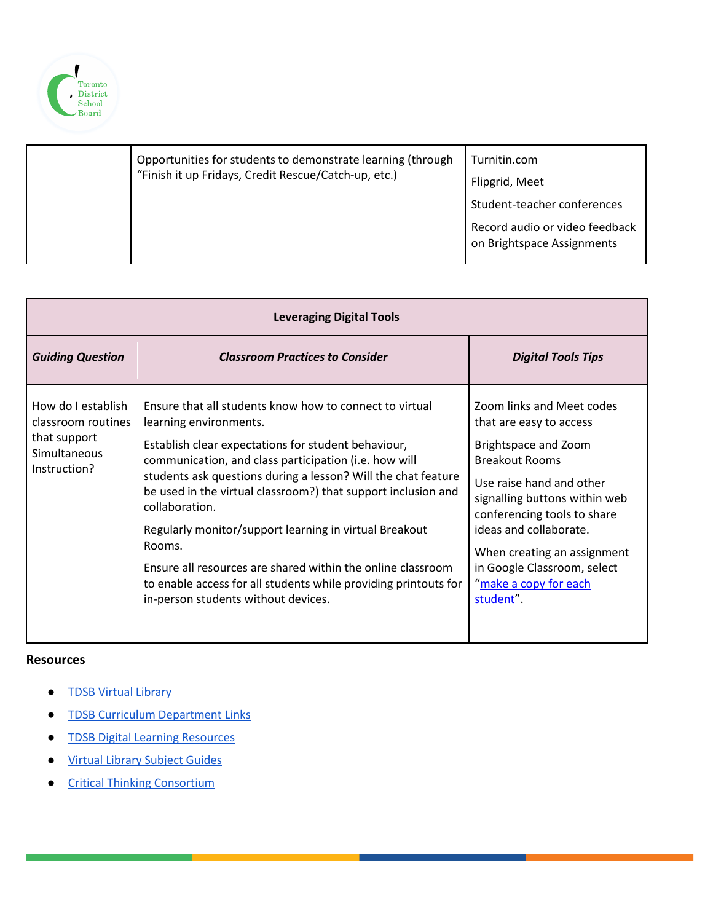

|  | Opportunities for students to demonstrate learning (through<br>"Finish it up Fridays, Credit Rescue/Catch-up, etc.) | Turnitin.com<br>Flipgrid, Meet<br>Student-teacher conferences<br>Record audio or video feedback<br>on Brightspace Assignments |
|--|---------------------------------------------------------------------------------------------------------------------|-------------------------------------------------------------------------------------------------------------------------------|
|--|---------------------------------------------------------------------------------------------------------------------|-------------------------------------------------------------------------------------------------------------------------------|

| <b>Leveraging Digital Tools</b>                                                                 |                                                                                                                                                                                                                                                                                                                                                                                                                                                                                                                                                                                                    |                                                                                                                                                                                                                                                                                                                                 |
|-------------------------------------------------------------------------------------------------|----------------------------------------------------------------------------------------------------------------------------------------------------------------------------------------------------------------------------------------------------------------------------------------------------------------------------------------------------------------------------------------------------------------------------------------------------------------------------------------------------------------------------------------------------------------------------------------------------|---------------------------------------------------------------------------------------------------------------------------------------------------------------------------------------------------------------------------------------------------------------------------------------------------------------------------------|
| <b>Guiding Question</b>                                                                         | <b>Classroom Practices to Consider</b>                                                                                                                                                                                                                                                                                                                                                                                                                                                                                                                                                             | <b>Digital Tools Tips</b>                                                                                                                                                                                                                                                                                                       |
| How do I establish<br>classroom routines<br>that support<br><b>Simultaneous</b><br>Instruction? | Ensure that all students know how to connect to virtual<br>learning environments.<br>Establish clear expectations for student behaviour,<br>communication, and class participation (i.e. how will<br>students ask questions during a lesson? Will the chat feature<br>be used in the virtual classroom?) that support inclusion and<br>collaboration.<br>Regularly monitor/support learning in virtual Breakout<br>Rooms.<br>Ensure all resources are shared within the online classroom<br>to enable access for all students while providing printouts for<br>in-person students without devices. | Zoom links and Meet codes<br>that are easy to access<br>Brightspace and Zoom<br><b>Breakout Rooms</b><br>Use raise hand and other<br>signalling buttons within web<br>conferencing tools to share<br>ideas and collaborate.<br>When creating an assignment<br>in Google Classroom, select<br>"make a copy for each<br>student". |

#### **Resources**

- TDSB Virtual Library
- [TDSB Curriculum Department Links](https://www.tdsb.on.ca/library/HOME/Educator)
- [TDSB Digital Learning Resources](https://sites.google.com/tdsb.on.ca/tdsb-digital-resources/home)
- [Virtual Library Subject Guides](https://www.tdsb.on.ca/library/HOME/Find)
- [Critical Thinking](https://tc2.ca/) Consortium